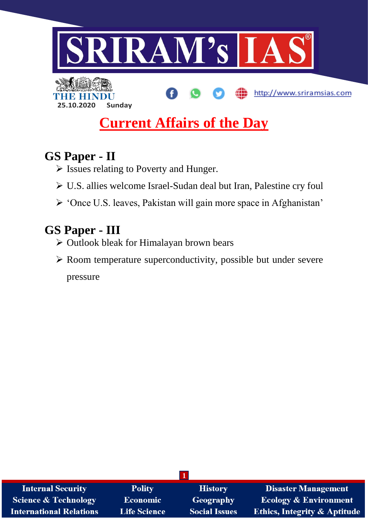

# **Current Affairs of the Day**

## **GS Paper - II**

- Issues relating to Poverty and Hunger.
- U.S. allies welcome Israel-Sudan deal but Iran, Palestine cry foul
- 'Once U.S. leaves, Pakistan will gain more space in Afghanistan'

## **GS Paper - III**

- Outlook bleak for Himalayan brown bears
- $\triangleright$  Room temperature superconductivity, possible but under severe pressure

| <b>Internal Security</b>        | <b>Polity</b>       | <b>History</b>       | <b>Disaster Management</b>              |
|---------------------------------|---------------------|----------------------|-----------------------------------------|
| <b>Science &amp; Technology</b> | <b>Economic</b>     | Geography            | <b>Ecology &amp; Environment</b>        |
| <b>International Relations</b>  | <b>Life Science</b> | <b>Social Issues</b> | <b>Ethics, Integrity &amp; Aptitude</b> |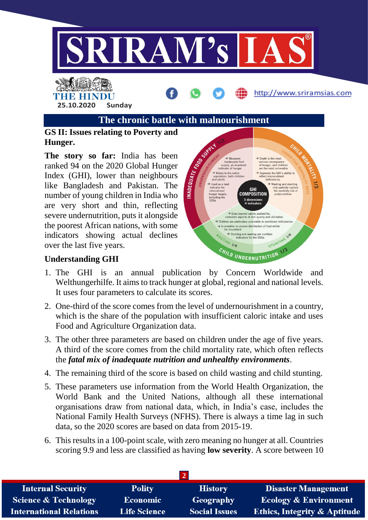

#### **The chronic battle with malnourishment**

#### **GS II: Issues relating to Poverty and Hunger.**

**The story so far:** India has been ranked 94 on the 2020 Global Hunger Index (GHI), lower than neighbours like Bangladesh and Pakistan. The number of young children in India who are very short and thin, reflecting severe undernutrition, puts it alongside the poorest African nations, with some indicators showing actual declines over the last five years.



#### **Understanding GHI**

- 1. The GHI is an annual publication by Concern Worldwide and Welthungerhilfe. It aims to track hunger at global, regional and national levels. It uses four parameters to calculate its scores.
- 2. One-third of the score comes from the level of undernourishment in a country, which is the share of the population with insufficient caloric intake and uses Food and Agriculture Organization data.
- 3. The other three parameters are based on children under the age of five years. A third of the score comes from the child mortality rate, which often reflects the *fatal mix of inadequate nutrition and unhealthy environments*.
- 4. The remaining third of the score is based on child wasting and child stunting.
- 5. These parameters use information from the World Health Organization, the World Bank and the United Nations, although all these international organisations draw from national data, which, in India's case, includes the National Family Health Surveys (NFHS). There is always a time lag in such data, so the 2020 scores are based on data from 2015-19.
- 6. This results in a 100-point scale, with zero meaning no hunger at all. Countries scoring 9.9 and less are classified as having **low severity**. A score between 10

| <b>Internal Security</b>        | <b>Polity</b>       | <b>History</b>       | <b>Disaster Management</b>              |  |
|---------------------------------|---------------------|----------------------|-----------------------------------------|--|
| <b>Science &amp; Technology</b> | Economic            | Geography            | <b>Ecology &amp; Environment</b>        |  |
| <b>International Relations</b>  | <b>Life Science</b> | <b>Social Issues</b> | <b>Ethics, Integrity &amp; Aptitude</b> |  |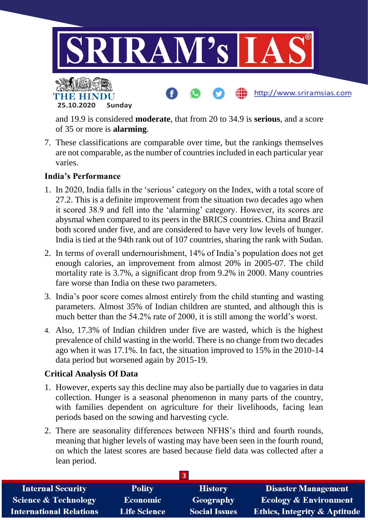

and 19.9 is considered **moderate**, that from 20 to 34.9 is **serious**, and a score of 35 or more is **alarming**.

7. These classifications are comparable over time, but the rankings themselves are not comparable, as the number of countries included in each particular year varies.

#### **India's Performance**

- 1. In 2020, India falls in the 'serious' category on the Index, with a total score of 27.2. This is a definite improvement from the situation two decades ago when it scored 38.9 and fell into the 'alarming' category. However, its scores are abysmal when compared to its peers in the BRICS countries. China and Brazil both scored under five, and are considered to have very low levels of hunger. India is tied at the 94th rank out of 107 countries, sharing the rank with Sudan.
- 2. In terms of overall undernourishment, 14% of India's population does not get enough calories, an improvement from almost 20% in 2005-07. The child mortality rate is 3.7%, a significant drop from 9.2% in 2000. Many countries fare worse than India on these two parameters.
- 3. India's poor score comes almost entirely from the child stunting and wasting parameters. Almost 35% of Indian children are stunted, and although this is much better than the 54.2% rate of 2000, it is still among the world's worst.
- 4. Also, 17.3% of Indian children under five are wasted, which is the highest prevalence of child wasting in the world. There is no change from two decades ago when it was 17.1%. In fact, the situation improved to 15% in the 2010-14 data period but worsened again by 2015-19.

#### **Critical Analysis Of Data**

- 1. However, experts say this decline may also be partially due to vagaries in data collection. Hunger is a seasonal phenomenon in many parts of the country, with families dependent on agriculture for their livelihoods, facing lean periods based on the sowing and harvesting cycle.
- 2. There are seasonality differences between NFHS's third and fourth rounds, meaning that higher levels of wasting may have been seen in the fourth round, on which the latest scores are based because field data was collected after a lean period.

| <b>Internal Security</b>        | <b>Polity</b>       | <b>History</b>       | <b>Disaster Management</b>              |
|---------------------------------|---------------------|----------------------|-----------------------------------------|
| <b>Science &amp; Technology</b> | <b>Economic</b>     | Geography            | <b>Ecology &amp; Environment</b>        |
| <b>International Relations</b>  | <b>Life Science</b> | <b>Social Issues</b> | <b>Ethics, Integrity &amp; Aptitude</b> |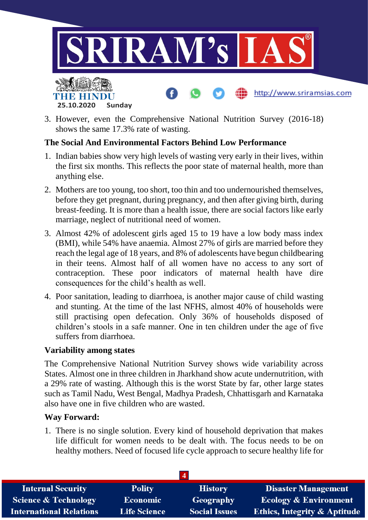

3. However, even the Comprehensive National Nutrition Survey (2016-18) shows the same 17.3% rate of wasting.

#### **The Social And Environmental Factors Behind Low Performance**

- 1. Indian babies show very high levels of wasting very early in their lives, within the first six months. This reflects the poor state of maternal health, more than anything else.
- 2. Mothers are too young, too short, too thin and too undernourished themselves, before they get pregnant, during pregnancy, and then after giving birth, during breast-feeding. It is more than a health issue, there are social factors like early marriage, neglect of nutritional need of women.
- 3. Almost 42% of adolescent girls aged 15 to 19 have a low body mass index (BMI), while 54% have anaemia. Almost 27% of girls are married before they reach the legal age of 18 years, and 8% of adolescents have begun childbearing in their teens. Almost half of all women have no access to any sort of contraception. These poor indicators of maternal health have dire consequences for the child's health as well.
- 4. Poor sanitation, leading to diarrhoea, is another major cause of child wasting and stunting. At the time of the last NFHS, almost 40% of households were still practising open defecation. Only 36% of households disposed of children's stools in a safe manner. One in ten children under the age of five suffers from diarrhoea.

#### **Variability among states**

The Comprehensive National Nutrition Survey shows wide variability across States. Almost one in three children in Jharkhand show acute undernutrition, with a 29% rate of wasting. Although this is the worst State by far, other large states such as Tamil Nadu, West Bengal, Madhya Pradesh, Chhattisgarh and Karnataka also have one in five children who are wasted.

#### **Way Forward:**

1. There is no single solution. Every kind of household deprivation that makes life difficult for women needs to be dealt with. The focus needs to be on healthy mothers. Need of focused life cycle approach to secure healthy life for

| <b>Internal Security</b>        | <b>Polity</b>       | <b>History</b>       | <b>Disaster Management</b>              |  |
|---------------------------------|---------------------|----------------------|-----------------------------------------|--|
| <b>Science &amp; Technology</b> | Economic            | Geography            | <b>Ecology &amp; Environment</b>        |  |
| <b>International Relations</b>  | <b>Life Science</b> | <b>Social Issues</b> | <b>Ethics, Integrity &amp; Aptitude</b> |  |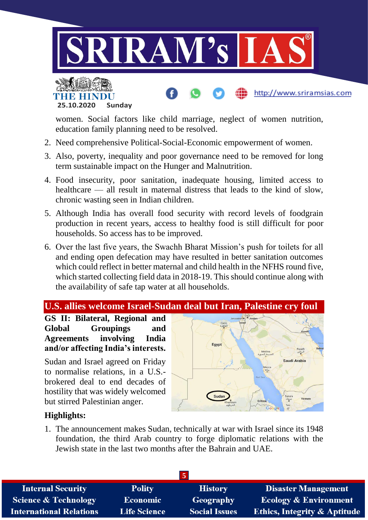



women. Social factors like child marriage, neglect of women nutrition, education family planning need to be resolved.

- 2. Need comprehensive Political-Social-Economic empowerment of women.
- 3. Also, poverty, inequality and poor governance need to be removed for long term sustainable impact on the Hunger and Malnutrition.
- 4. Food insecurity, poor sanitation, inadequate housing, limited access to healthcare — all result in maternal distress that leads to the kind of slow, chronic wasting seen in Indian children.
- 5. Although India has overall food security with record levels of foodgrain production in recent years, access to healthy food is still difficult for poor households. So access has to be improved.
- 6. Over the last five years, the Swachh Bharat Mission's push for toilets for all and ending open defecation may have resulted in better sanitation outcomes which could reflect in better maternal and child health in the NFHS round five, which started collecting field data in 2018-19. This should continue along with the availability of safe tap water at all households.



**GS II: Bilateral, Regional and Global Groupings and Agreements involving India and/or affecting India's interests.**

Sudan and Israel agreed on Friday to normalise relations, in a U.S. brokered deal to end decades of hostility that was widely welcomed but stirred Palestinian anger.



http://www.sriramsias.com

#### **Highlights:**

1. The announcement makes Sudan, technically at war with Israel since its 1948 foundation, the third Arab country to forge diplomatic relations with the Jewish state in the last two months after the Bahrain and UAE.

| <b>Internal Security</b>        | <b>Polity</b>       | <b>History</b>       | <b>Disaster Management</b>              |  |
|---------------------------------|---------------------|----------------------|-----------------------------------------|--|
| <b>Science &amp; Technology</b> | <b>Economic</b>     | Geography            | <b>Ecology &amp; Environment</b>        |  |
| <b>International Relations</b>  | <b>Life Science</b> | <b>Social Issues</b> | <b>Ethics, Integrity &amp; Aptitude</b> |  |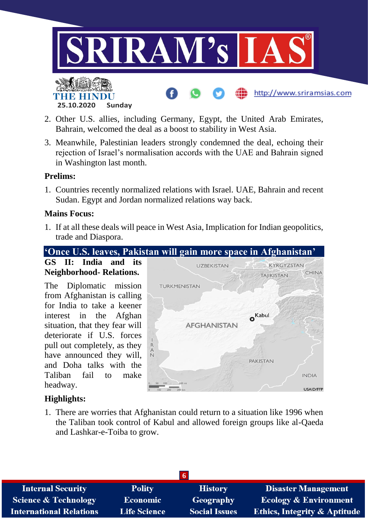

- 2. Other U.S. allies, including Germany, Egypt, the United Arab Emirates, Bahrain, welcomed the deal as a boost to stability in West Asia.
- 3. Meanwhile, Palestinian leaders strongly condemned the deal, echoing their rejection of Israel's normalisation accords with the UAE and Bahrain signed in Washington last month.

#### **Prelims:**

1. Countries recently normalized relations with Israel. UAE, Bahrain and recent Sudan. Egypt and Jordan normalized relations way back.

#### **Mains Focus:**

1. If at all these deals will peace in West Asia, Implication for Indian geopolitics, trade and Diaspora.

#### **'Once U.S. leaves, Pakistan will gain more space in Afghanistan'**

**GS II: India and its Neighborhood- Relations.**

The Diplomatic mission from Afghanistan is calling for India to take a keener interest in the Afghan situation, that they fear will deteriorate if U.S. forces pull out completely, as they have announced they will, and Doha talks with the Taliban fail to make headway.



### **Highlights:**

1. There are worries that Afghanistan could return to a situation like 1996 when the Taliban took control of Kabul and allowed foreign groups like al-Qaeda and Lashkar-e-Toiba to grow.

| <b>Internal Security</b>        | <b>Polity</b>       | <b>History</b>       | <b>Disaster Management</b>              |  |  |
|---------------------------------|---------------------|----------------------|-----------------------------------------|--|--|
| <b>Science &amp; Technology</b> | <b>Economic</b>     | Geography            | <b>Ecology &amp; Environment</b>        |  |  |
| <b>International Relations</b>  | <b>Life Science</b> | <b>Social Issues</b> | <b>Ethics, Integrity &amp; Aptitude</b> |  |  |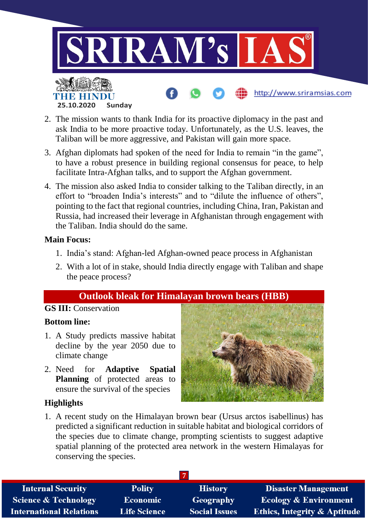

- 2. The mission wants to thank India for its proactive diplomacy in the past and ask India to be more proactive today. Unfortunately, as the U.S. leaves, the Taliban will be more aggressive, and Pakistan will gain more space.
- 3. Afghan diplomats had spoken of the need for India to remain "in the game", to have a robust presence in building regional consensus for peace, to help facilitate Intra-Afghan talks, and to support the Afghan government.
- 4. The mission also asked India to consider talking to the Taliban directly, in an effort to "broaden India's interests" and to "dilute the influence of others", pointing to the fact that regional countries, including China, Iran, Pakistan and Russia, had increased their leverage in Afghanistan through engagement with the Taliban. India should do the same.

#### **Main Focus:**

- 1. India's stand: Afghan-led Afghan-owned peace process in Afghanistan
- 2. With a lot of in stake, should India directly engage with Taliban and shape the peace process?

### **Outlook bleak for Himalayan brown bears (HBB)**

#### **GS III:** Conservation

#### **Bottom line:**

- 1. A Study predicts massive habitat decline by the year 2050 due to climate change
- 2. Need for **Adaptive Spatial Planning** of protected areas to ensure the survival of the species

#### **Highlights**

1. A recent study on the Himalayan brown bear (Ursus arctos isabellinus) has predicted a significant reduction in suitable habitat and biological corridors of the species due to climate change, prompting scientists to suggest adaptive spatial planning of the protected area network in the western Himalayas for conserving the species.

| <b>Internal Security</b>        | <b>Polity</b>       | <b>History</b>       | <b>Disaster Management</b>              |
|---------------------------------|---------------------|----------------------|-----------------------------------------|
| <b>Science &amp; Technology</b> | <b>Economic</b>     | <b>Geography</b>     | <b>Ecology &amp; Environment</b>        |
| <b>International Relations</b>  | <b>Life Science</b> | <b>Social Issues</b> | <b>Ethics, Integrity &amp; Aptitude</b> |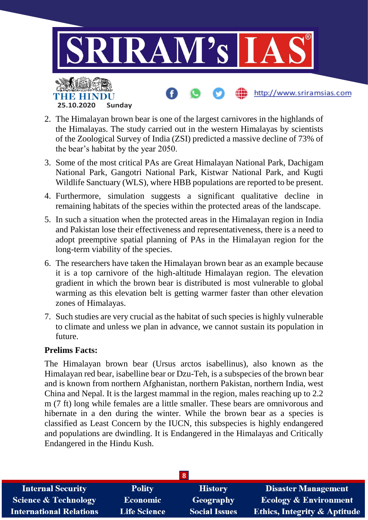

- 2. The Himalayan brown bear is one of the largest carnivores in the highlands of the Himalayas. The study carried out in the western Himalayas by scientists of the Zoological Survey of India (ZSI) predicted a massive decline of 73% of the bear's habitat by the year 2050.
- 3. Some of the most critical PAs are Great Himalayan National Park, Dachigam National Park, Gangotri National Park, Kistwar National Park, and Kugti Wildlife Sanctuary (WLS), where HBB populations are reported to be present.
- 4. Furthermore, simulation suggests a significant qualitative decline in remaining habitats of the species within the protected areas of the landscape.
- 5. In such a situation when the protected areas in the Himalayan region in India and Pakistan lose their effectiveness and representativeness, there is a need to adopt preemptive spatial planning of PAs in the Himalayan region for the long-term viability of the species.
- 6. The researchers have taken the Himalayan brown bear as an example because it is a top carnivore of the high-altitude Himalayan region. The elevation gradient in which the brown bear is distributed is most vulnerable to global warming as this elevation belt is getting warmer faster than other elevation zones of Himalayas.
- 7. Such studies are very crucial as the habitat of such species is highly vulnerable to climate and unless we plan in advance, we cannot sustain its population in future.

#### **Prelims Facts:**

The Himalayan brown bear (Ursus arctos isabellinus), also known as the Himalayan red bear, isabelline bear or Dzu-Teh, is a subspecies of the brown bear and is known from northern Afghanistan, northern Pakistan, northern India, west China and Nepal. It is the largest mammal in the region, males reaching up to 2.2 m (7 ft) long while females are a little smaller. These bears are omnivorous and hibernate in a den during the winter. While the brown bear as a species is classified as Least Concern by the IUCN, this subspecies is highly endangered and populations are dwindling. It is Endangered in the Himalayas and Critically Endangered in the Hindu Kush.

| <b>Internal Security</b>       | <b>Polity</b>       | <b>History</b>       | <b>Disaster Management</b>              |  |
|--------------------------------|---------------------|----------------------|-----------------------------------------|--|
| Science & Technology           | <b>Economic</b>     | Geography            | <b>Ecology &amp; Environment</b>        |  |
| <b>International Relations</b> | <b>Life Science</b> | <b>Social Issues</b> | <b>Ethics, Integrity &amp; Aptitude</b> |  |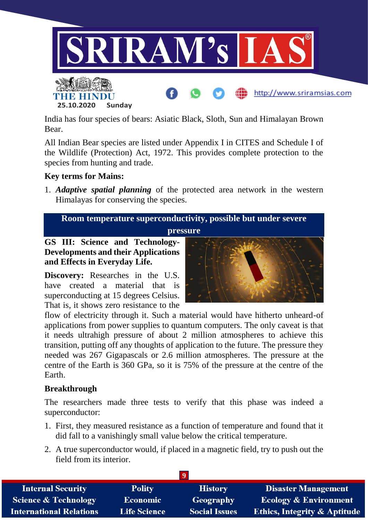

India has four species of bears: Asiatic Black, Sloth, Sun and Himalayan Brown Bear.

All Indian Bear species are listed under Appendix I in CITES and Schedule I of the Wildlife (Protection) Act, 1972. This provides complete protection to the species from hunting and trade.

#### **Key terms for Mains:**

1. *Adaptive spatial planning* of the protected area network in the western Himalayas for conserving the species.

**Room temperature superconductivity, possible but under severe** 

**pressure**

**GS III: Science and Technology-Developments and their Applications and Effects in Everyday Life.**

**Discovery:** Researches in the U.S. have created a material that is superconducting at 15 degrees Celsius. That is, it shows zero resistance to the



flow of electricity through it. Such a material would have hitherto unheard-of applications from power supplies to quantum computers. The only caveat is that it needs ultrahigh pressure of about 2 million atmospheres to achieve this transition, putting off any thoughts of application to the future. The pressure they needed was 267 Gigapascals or 2.6 million atmospheres. The pressure at the centre of the Earth is 360 GPa, so it is 75% of the pressure at the centre of the Earth.

#### **Breakthrough**

The researchers made three tests to verify that this phase was indeed a superconductor:

- 1. First, they measured resistance as a function of temperature and found that it did fall to a vanishingly small value below the critical temperature.
- 2. A true superconductor would, if placed in a magnetic field, try to push out the field from its interior.

| <b>Internal Security</b>        | <b>Polity</b>       | <b>History</b>       | <b>Disaster Management</b>              |
|---------------------------------|---------------------|----------------------|-----------------------------------------|
| <b>Science &amp; Technology</b> | <b>Economic</b>     | Geography            | <b>Ecology &amp; Environment</b>        |
| <b>International Relations</b>  | <b>Life Science</b> | <b>Social Issues</b> | <b>Ethics, Integrity &amp; Aptitude</b> |